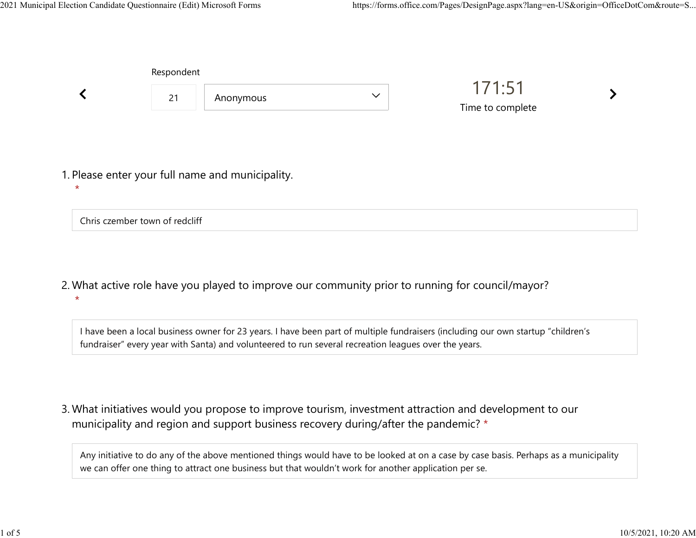|  | Respondent |                                                  |              |                            |  |
|--|------------|--------------------------------------------------|--------------|----------------------------|--|
|  | 21         | Anonymous                                        | $\checkmark$ | 171:51<br>Time to complete |  |
|  |            |                                                  |              |                            |  |
|  |            | 1. Please enter your full name and municipality. |              |                            |  |

Chris czember town of redcliff

 $\star$ 

What active role have you played to improve our community prior to running for council/mayor? 2.  $\star$ 

I have been a local business owner for 23 years. I have been part of multiple fundraisers (including our own startup "children's fundraiser" every year with Santa) and volunteered to run several recreation leagues over the years.

What initiatives would you propose to improve tourism, investment attraction and development to our 3. municipality and region and support business recovery during/after the pandemic? \*

Any initiative to do any of the above mentioned things would have to be looked at on a case by case basis. Perhaps as a municipality we can offer one thing to attract one business but that wouldn't work for another application per se.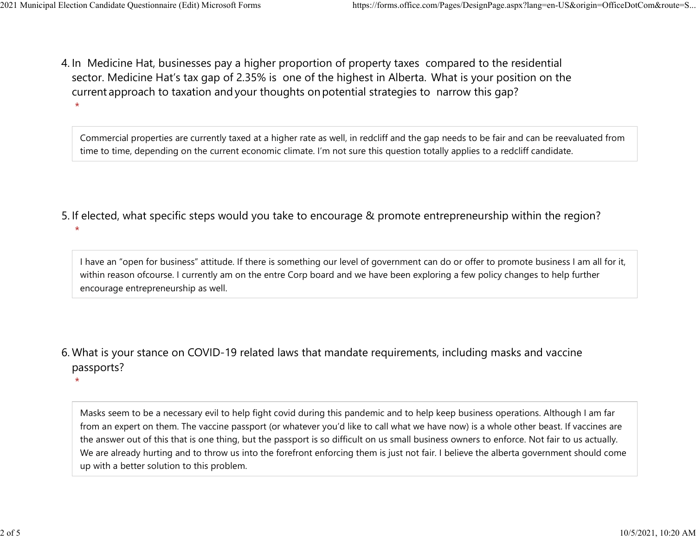$\star$ 

 $\star$ 

4. In Medicine Hat, businesses pay a higher proportion of property taxes compared to the residential sector.  Medicine Hat's tax gap of 2.35% is one of the highest in Alberta.  What is your position on the current approach to taxation and your thoughts on potential strategies to narrow this gap?  $\star$ 2021 Municipal Election Candidate Questionnaire (Edit) Microsoft Forms https://forms.office.com/Pages/DesignPage.aspx?lang=en-US&origin=OfficeDotCom&route=S...<br>A In Medicine Hat businesses nav a bigher proportion of proper

> Commercial properties are currently taxed at a higher rate as well, in redcliff and the gap needs to be fair and can be reevaluated from time to time, depending on the current economic climate. I'm not sure this question totally applies to a redcliff candidate.

5. If elected, what specific steps would you take to encourage & promote entrepreneurship within the region?

I have an "open for business" attitude. If there is something our level of government can do or offer to promote business I am all for it, within reason ofcourse. I currently am on the entre Corp board and we have been exploring a few policy changes to help further encourage entrepreneurship as well.

What is your stance on COVID-19 related laws that mandate requirements, including masks and vaccine 6. passports?

Masks seem to be a necessary evil to help fight covid during this pandemic and to help keep business operations. Although I am far from an expert on them. The vaccine passport (or whatever you'd like to call what we have now) is a whole other beast. If vaccines are the answer out of this that is one thing, but the passport is so difficult on us small business owners to enforce. Not fair to us actually. We are already hurting and to throw us into the forefront enforcing them is just not fair. I believe the alberta government should come up with a better solution to this problem.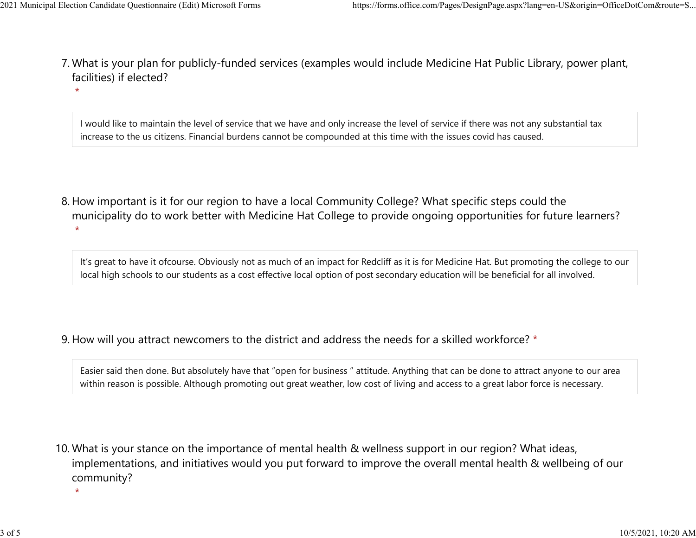$\star$ 

- What is your plan for publicly-funded services (examples would include Medicine Hat Public Library, power plant, 7. facilities) if elected? 2021 Municipal Election Candidate Questionnaire (Edit) Microsoft Forms https://forms.office.com/Pages/DesignPage.aspx?lang=en-US&origin=OfficeDotCom&route=S...<br>7 Mhat is vour plan for publicly-funded services (examples wou
	- I would like to maintain the level of service that we have and only increase the level of service if there was not any substantial tax increase to the us citizens. Financial burdens cannot be compounded at this time with the issues covid has caused.
	- 8. How important is it for our region to have a local Community College? What specific steps could the municipality do to work better with Medicine Hat College to provide ongoing opportunities for future learners?  $\star$

It's great to have it ofcourse. Obviously not as much of an impact for Redcliff as it is for Medicine Hat. But promoting the college to our local high schools to our students as a cost effective local option of post secondary education will be beneficial for all involved.

9. How will you attract newcomers to the district and address the needs for a skilled workforce? \*

Easier said then done. But absolutely have that "open for business " attitude. Anything that can be done to attract anyone to our area within reason is possible. Although promoting out great weather, low cost of living and access to a great labor force is necessary.

10. What is your stance on the importance of mental health & wellness support in our region? What ideas, implementations, and initiatives would you put forward to improve the overall mental health & wellbeing of our community?

 $\star$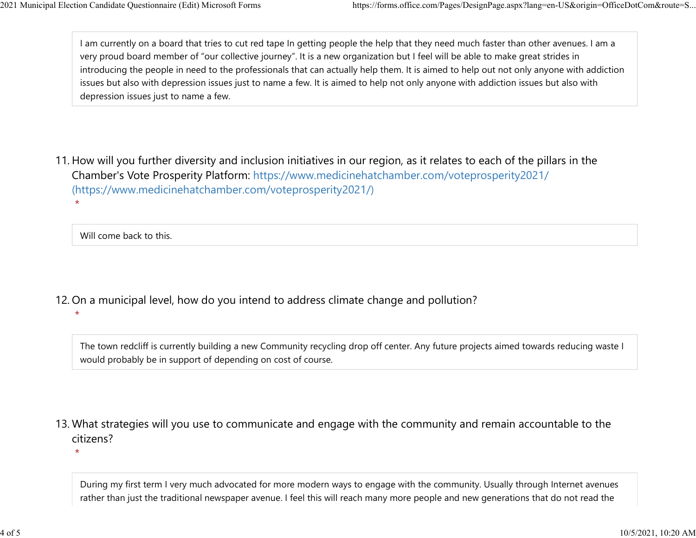I am currently on a board that tries to cut red tape In getting people the help that they need much faster than other avenues. I am a very proud board member of "our collective journey". It is a new organization but I feel will be able to make great strides in introducing the people in need to the professionals that can actually help them. It is aimed to help out not only anyone with addiction issues but also with depression issues just to name a few. It is aimed to help not only anyone with addiction issues but also with depression issues just to name a few. 2021 Municipal Election Candidate Questionnaire (Edit) Microsoft Forms https://forms.office.com/Pages/DesignPage.aspx?lang=en-US&origin=OfficeDotCom&route=S...<br>
1 am currently on a board that tries to cut red tape In getti

11. How will you further diversity and inclusion initiatives in our region, as it relates to each of the pillars in the Chamber's Vote Prosperity Platform: https://www.medicinehatchamber.com/voteprosperity2021/ (https://www.medicinehatchamber.com/voteprosperity2021/)  $\star$ 

Will come back to this.

12. On a municipal level, how do you intend to address climate change and pollution?

 $\star$ 

The town redcliff is currently building a new Community recycling drop off center. Any future projects aimed towards reducing waste I would probably be in support of depending on cost of course.

13. What strategies will you use to communicate and engage with the community and remain accountable to the citizens?

 $\star$ 

During my first term I very much advocated for more modern ways to engage with the community. Usually through Internet avenues rather than just the traditional newspaper avenue. I feel this will reach many more people and new generations that do not read the